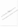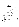## บรรณานุกรม

เกรียงไกร มุสิกะวงษ์. (2531). ความพึงพอใจในการทำงานของอาจารย์ที่มีต่อการปฏิบัติงาน ิตามหน้าที่ของผู้บริหารวิทยาลัยพลศึกษา. ปริญญานิพนธ์ กศ.ม. มหาสารคาม : มหาวิทยาลัยศรีนครินทรวิโรฒ มหาสารคาม, (อัคสำเนา),

ึ่งรัส โพธิ์จันทร์. (2528). ความพึงพอใจในการทำงานของอาจารย์วิทยาลัยพลศึกษาใน ภาคเหนือ. ปริญญานิพนธ์ กศ.ม. กรุงเทพฯ :มหาวิทยาลัยศรีนครินทรวิโรฒ ประสานมิตร.

ิชุมพล เตมีศักดิ์. (2530). **ความพึงพอใจในการทำงานของศึกษาธิกา**รอำเภอในเขตการศึกษา 7 และ 8. ปริญญานิพนธ์ กศ.ม. พิษณุโลก : มหาวิทยาลัยศรีนัตรินทรุจิโรฒ พิษณโลก.

- ณรงค์ศักดิ์ คูบุญญอารักษ์. (2537). **ความพึงพูฮ**์ใจในการปลิบัติงานของวิทยาจารย์ ีวิทยาลัยพยาบาล ในภาคตะวันออกเฉียงเหนือ ปริญญานิพนธ์ปริญญาบุหามัณฑิต สาขาการบริหารการศึกษา คิณะครูตาสตร์ มหาวิทยาลัยศรีนครินทธุริโรฒ
- ถนัคกิจ น่วมอินทร์. (2537) สิ่งงุ่มพิงพอโจของบุคลากรในการปฏิบัติหนังที่ในสำนักงาน การใฟฟู้เสงินั่งมีทิกที่ เขตพิษณุโลก ภาคเหนือ ถึกแก่มีพินธ์ปริญญามหาบัณฑิต 2 มหังวิพยากับนเรศวร.

ธนาคงรักรุงเทพ จำกัด (มหาชน). (2541). รายงานประจำปี 2541. กรุงเทพฯ: ้ธนาคารกรุงเทพ จำกัด (มหาหนุ) สิ่งนี้ควานใหญ่สีลม.

ธรรมนูญ เลากัยกุล. (2541). ขางสารของเรา. กรุงเทพฯ : ธนาคารกรุงเทพ จำกัด สำนักงานใหญ่สีดินะ

ธีรพงษ์ จุ๋ยมณี (@SS2) การศึกษาควา**มพึงพอใจในการปฏิบัติงานของครูอาจารย์ในโรงเรียน** ์ พืชผูมศึกษา สังกัดกรมสามัญศึกษาในจังหวัดสงขลา. ปริญญานิพนธ์ กศ.ม. สงขลา : นี้ทำวิทยาลัยศรีนครินทรวิโรฒ สงขลา (อัดสำเนา).

บุญชู โรจนเสถียร. (2537). 50 ปีบัวหลวง. กรุงเทพฯ : ธนาคารกรุงเทพ จำกัด ้สำนักงานใหญ่สีลม.

ปียะ อุทาโย. (2539). ความพึงพอใจของประชาชนต่อการให้บริการงานตำรวจ. วิทยานิพนธ์ คุษฎีบัณฑิต สถาบันบัณฑิตพัฒนบริหารศาสตร์.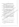- พุฒิชาย กิตติมาวิกรม. (2537). ขวัญในการปฏิบัติงานของพนักงานฝ่ายการพนักงาน ธนาคารกรุงเทพ จำกัด (มหาชน). วิทยานิพนธ์ปริญญามหาบัณฑิต สถาบัน บัณฑิตพัฒนบริหารศาสตร์.
- ไพศาล ริ้วธงชัย. (2538). ความพึงพอใจในการปฏิบัติหน้าที่ของพนักงานโรงแรมในจังหวัด <mark>พิษณุโลก</mark>. รายงานการวิจัย คณะวิทยาการจัดการ สถาบันราชภัฏพิบูลสงคราม.<br>ัน. *(*2528). ความพึงพอใจในการปฏิบัติงานของข้าราชการมหาวิทยาลัย
- **qnn norib. (2528). nai~iai~d~luni~d~pIaaioau~a(u"1~1'tlni~uo1i~nai~a ิสงขลานครินทร์. ปริญญานิพนธ์ กศ.ม. สงขลา : มหาวิทยาลัยศรีนครินทร**วิโรฒ สงขลา.
- รังสรรค์ ถึงสข. (2537). ความพึงพอใจในการทำงานของพนักงานช่าง เขตโมร์สัฟท์ภิมิภาค ี ที่ 4. วิทยานิพนธ์ปริญญามหาบัณฑิต มหาวิทยาลัยนเรศวร*์*
- ีสมหมาย ถีนะกนิษฐ์. (2534). ความพึงพอใจในการปฏิบัติงานของพนักงานธนาคารเพื่อ ี การเกษตรและสหกรณ์การเกษตร. สำรับชนบัง สาขาบริหารรัฐกิจ คณะรัฐศาสตร์ มหาวิทยาลัยธรรมศาสตร์.
- สาโรจน์ บุญบุตร. (2535). การศึกษาคั่วโมพี่งินอโจในการปฏิบัติงานของบุคลากรในสังนักงาน ประชาสัมพันธ์อังหรัด กรมประชาสัมพันธ์. ปริญญานิพบธ์ปริญญัติแห่งบัณฑิต. มหาวิทยาลัยนิเริ่ลลุ่ม

สุนัยฤหัส พุสรุสกิโลเบีย (2529). ความพึงพอใจในการปฏิทัติแน้งที่ราชการของเจ้าหน้าที่ ตุโรวจ์แผนกลายตรวจรถยนต์และรถจักรยางเย็นตี้ กอังกำกับการสายตรวจ กองบังคับการสายตรวจและปฏิบัติการพิเศษ กองบัญชาการตำรวจนครบาล. วิทยานิพนธ์ปริญญาบุหุงขั้ญทิต สำขาอาชญาวิทยาและงานยุติธธรรม ภาควิชา สังคมศาสตร์ หน้างินยาลัยมหิคล.

Barnard, Chester I. (1968). The Functions of Executive. Cambridge : Harward University Press.

Chruden, Herbert J. and Sherman, Arther W. **(1968). Personal Management. N.p.** : Harward University Press.

Cooper, Alfred M. **(1958). How to Supervise People.** New York : McGraw-Hill,

Gilmer, Vol Haller B. **(1971). Industrial and Organization Psychology.** New York : McGraw-Hill.